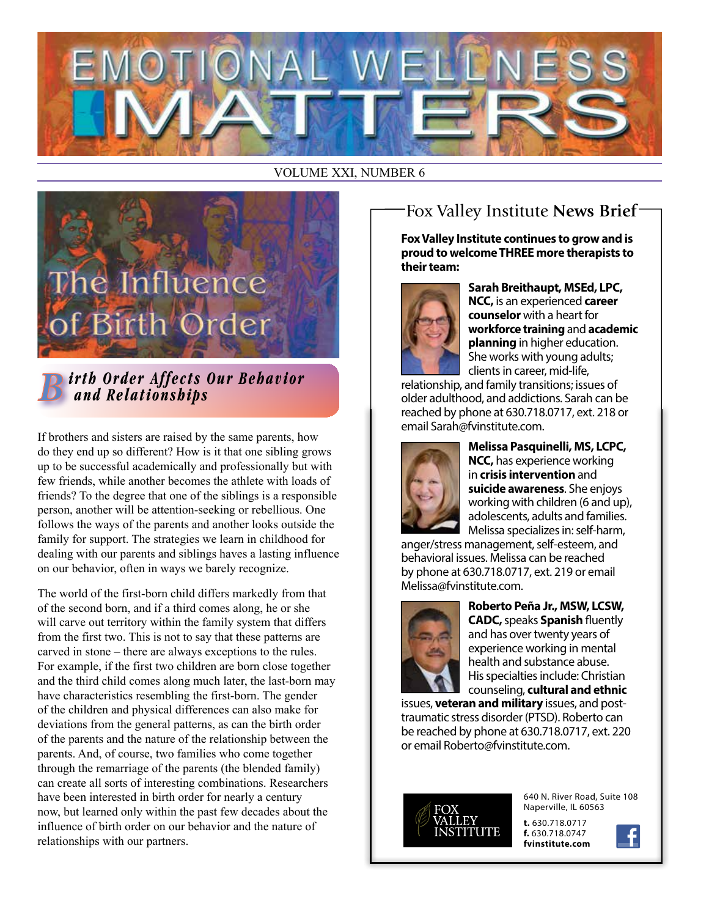

#### VOLUME XXI, NUMBER 6



*irth Order Affects Our Behavior and Relationships*

If brothers and sisters are raised by the same parents, how do they end up so different? How is it that one sibling grows up to be successful academically and professionally but with few friends, while another becomes the athlete with loads of friends? To the degree that one of the siblings is a responsible person, another will be attention-seeking or rebellious. One follows the ways of the parents and another looks outside the family for support. The strategies we learn in childhood for dealing with our parents and siblings haves a lasting influence on our behavior, often in ways we barely recognize.

The world of the first-born child differs markedly from that of the second born, and if a third comes along, he or she will carve out territory within the family system that differs from the first two. This is not to say that these patterns are carved in stone – there are always exceptions to the rules. For example, if the first two children are born close together and the third child comes along much later, the last-born may have characteristics resembling the first-born. The gender of the children and physical differences can also make for deviations from the general patterns, as can the birth order of the parents and the nature of the relationship between the parents. And, of course, two families who come together through the remarriage of the parents (the blended family) can create all sorts of interesting combinations. Researchers have been interested in birth order for nearly a century and the people of the control of the people of the people of the people of the people of the people of the people of the people of the people of the people of the pe now, but learned only within the past few decades about the influence of birth order on our behavior and the nature of relationships with our partners.

# Fox Valley Institute **News Brief**

**Fox Valley Institute continues to grow and is proud to welcome THREE more therapists to their team:** 



**Sarah Breithaupt, MSEd, LPC, NCC,** is an experienced **career counselor** with a heart for **workforce training** and **academic planning** in higher education. She works with young adults; clients in career, mid-life,

relationship, and family transitions; issues of older adulthood, and addictions. Sarah can be reached by phone at 630.718.0717, ext. 218 or email Sarah@fvinstitute.com.



**Melissa Pasquinelli, MS, LCPC, NCC,** has experience working in **crisis intervention** and **suicide awareness**. She enjoys working with children (6 and up), adolescents, adults and families. Melissa specializes in: self-harm,

anger/stress management, self-esteem, and behavioral issues. Melissa can be reached by phone at 630.718.0717, ext. 219 or email Melissa@fvinstitute.com.



**Roberto Peña Jr., MSW, LCSW, CADC,** speaks **Spanish** fluently and has over twenty years of experience working in mental health and substance abuse. His specialties include: Christian counseling, **cultural and ethnic**

issues, **veteran and military** issues, and posttraumatic stress disorder (PTSD). Roberto can be reached by phone at 630.718.0717, ext. 220 or email Roberto@fvinstitute.com.



Naperville, IL 60563

**t.** 630.718.0717 **f.** 630.718.0747 **fvinstitute.com**

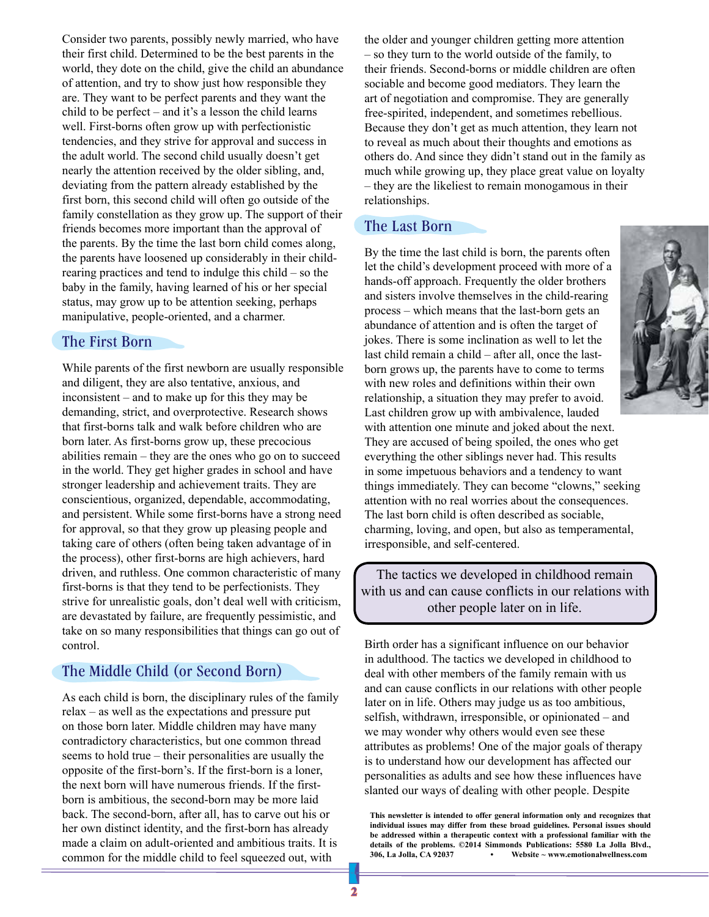Consider two parents, possibly newly married, who have their first child. Determined to be the best parents in the world, they dote on the child, give the child an abundance of attention, and try to show just how responsible they are. They want to be perfect parents and they want the child to be perfect – and it's a lesson the child learns well. First-borns often grow up with perfectionistic tendencies, and they strive for approval and success in the adult world. The second child usually doesn't get nearly the attention received by the older sibling, and, deviating from the pattern already established by the first born, this second child will often go outside of the family constellation as they grow up. The support of their friends becomes more important than the approval of the parents. By the time the last born child comes along, the parents have loosened up considerably in their childrearing practices and tend to indulge this child – so the baby in the family, having learned of his or her special status, may grow up to be attention seeking, perhaps manipulative, people-oriented, and a charmer.

#### The First Born

While parents of the first newborn are usually responsible and diligent, they are also tentative, anxious, and inconsistent – and to make up for this they may be demanding, strict, and overprotective. Research shows that first-borns talk and walk before children who are born later. As first-borns grow up, these precocious abilities remain – they are the ones who go on to succeed in the world. They get higher grades in school and have stronger leadership and achievement traits. They are conscientious, organized, dependable, accommodating, and persistent. While some first-borns have a strong need for approval, so that they grow up pleasing people and taking care of others (often being taken advantage of in the process), other first-borns are high achievers, hard driven, and ruthless. One common characteristic of many first-borns is that they tend to be perfectionists. They strive for unrealistic goals, don't deal well with criticism, are devastated by failure, are frequently pessimistic, and take on so many responsibilities that things can go out of control.

#### The Middle Child (or Second Born)

As each child is born, the disciplinary rules of the family relax – as well as the expectations and pressure put on those born later. Middle children may have many contradictory characteristics, but one common thread seems to hold true – their personalities are usually the opposite of the first-born's. If the first-born is a loner, the next born will have numerous friends. If the firstborn is ambitious, the second-born may be more laid back. The second-born, after all, has to carve out his or her own distinct identity, and the first-born has already made a claim on adult-oriented and ambitious traits. It is common for the middle child to feel squeezed out, with

the older and younger children getting more attention – so they turn to the world outside of the family, to their friends. Second-borns or middle children are often sociable and become good mediators. They learn the art of negotiation and compromise. They are generally free-spirited, independent, and sometimes rebellious. Because they don't get as much attention, they learn not to reveal as much about their thoughts and emotions as others do. And since they didn't stand out in the family as much while growing up, they place great value on loyalty – they are the likeliest to remain monogamous in their relationships.

#### The Last Born

By the time the last child is born, the parents often let the child's development proceed with more of a hands-off approach. Frequently the older brothers and sisters involve themselves in the child-rearing process – which means that the last-born gets an abundance of attention and is often the target of jokes. There is some inclination as well to let the last child remain a child – after all, once the lastborn grows up, the parents have to come to terms with new roles and definitions within their own relationship, a situation they may prefer to avoid. Last children grow up with ambivalence, lauded with attention one minute and joked about the next. They are accused of being spoiled, the ones who get everything the other siblings never had. This results in some impetuous behaviors and a tendency to want things immediately. They can become "clowns," seeking attention with no real worries about the consequences. The last born child is often described as sociable, charming, loving, and open, but also as temperamental, irresponsible, and self-centered.

The tactics we developed in childhood remain with us and can cause conflicts in our relations with other people later on in life.

Birth order has a significant influence on our behavior in adulthood. The tactics we developed in childhood to deal with other members of the family remain with us and can cause conflicts in our relations with other people later on in life. Others may judge us as too ambitious, selfish, withdrawn, irresponsible, or opinionated – and we may wonder why others would even see these attributes as problems! One of the major goals of therapy is to understand how our development has affected our personalities as adults and see how these influences have slanted our ways of dealing with other people. Despite

**This newsletter is intended to offer general information only and recognizes that individual issues may differ from these broad guidelines. Personal issues should be addressed within a therapeutic context with a professional familiar with the details of the problems. ©2014 Simmonds Publications: 5580 La Jolla Blvd., 306, La Jolla, CA 92037 • Website ~ www.emotionalwellness.com**

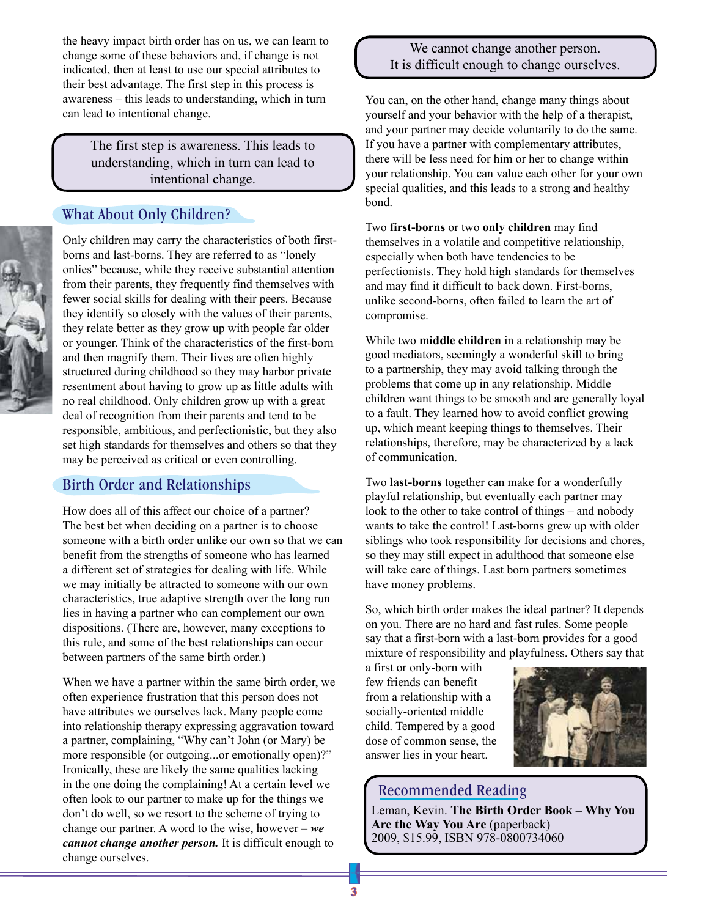the heavy impact birth order has on us, we can learn to change some of these behaviors and, if change is not indicated, then at least to use our special attributes to their best advantage. The first step in this process is awareness – this leads to understanding, which in turn can lead to intentional change.

> The first step is awareness. This leads to understanding, which in turn can lead to intentional change.

### What About Only Children?



Only children may carry the characteristics of both firstborns and last-borns. They are referred to as "lonely onlies" because, while they receive substantial attention from their parents, they frequently find themselves with fewer social skills for dealing with their peers. Because they identify so closely with the values of their parents, they relate better as they grow up with people far older or younger. Think of the characteristics of the first-born and then magnify them. Their lives are often highly structured during childhood so they may harbor private resentment about having to grow up as little adults with no real childhood. Only children grow up with a great deal of recognition from their parents and tend to be responsible, ambitious, and perfectionistic, but they also set high standards for themselves and others so that they may be perceived as critical or even controlling.

#### Birth Order and Relationships

How does all of this affect our choice of a partner? The best bet when deciding on a partner is to choose someone with a birth order unlike our own so that we can benefit from the strengths of someone who has learned a different set of strategies for dealing with life. While we may initially be attracted to someone with our own characteristics, true adaptive strength over the long run lies in having a partner who can complement our own dispositions. (There are, however, many exceptions to this rule, and some of the best relationships can occur between partners of the same birth order.)

When we have a partner within the same birth order, we often experience frustration that this person does not have attributes we ourselves lack. Many people come into relationship therapy expressing aggravation toward a partner, complaining, "Why can't John (or Mary) be more responsible (or outgoing...or emotionally open)?" Ironically, these are likely the same qualities lacking in the one doing the complaining! At a certain level we often look to our partner to make up for the things we don't do well, so we resort to the scheme of trying to change our partner. A word to the wise, however – *we cannot change another person.* It is difficult enough to change ourselves.

#### We cannot change another person. It is difficult enough to change ourselves.

You can, on the other hand, change many things about yourself and your behavior with the help of a therapist, and your partner may decide voluntarily to do the same. If you have a partner with complementary attributes, there will be less need for him or her to change within your relationship. You can value each other for your own special qualities, and this leads to a strong and healthy bond.

Two **first-borns** or two **only children** may find themselves in a volatile and competitive relationship, especially when both have tendencies to be perfectionists. They hold high standards for themselves and may find it difficult to back down. First-borns, unlike second-borns, often failed to learn the art of compromise.

While two **middle children** in a relationship may be good mediators, seemingly a wonderful skill to bring to a partnership, they may avoid talking through the problems that come up in any relationship. Middle children want things to be smooth and are generally loyal to a fault. They learned how to avoid conflict growing up, which meant keeping things to themselves. Their relationships, therefore, may be characterized by a lack of communication.

Two **last-borns** together can make for a wonderfully playful relationship, but eventually each partner may look to the other to take control of things – and nobody wants to take the control! Last-borns grew up with older siblings who took responsibility for decisions and chores, so they may still expect in adulthood that someone else will take care of things. Last born partners sometimes have money problems.

So, which birth order makes the ideal partner? It depends on you. There are no hard and fast rules. Some people say that a first-born with a last-born provides for a good mixture of responsibility and playfulness. Others say that

a first or only-born with few friends can benefit from a relationship with a socially-oriented middle child. Tempered by a good dose of common sense, the answer lies in your heart.



#### Recommended Reading

Leman, Kevin. **The Birth Order Book – Why You Are the Way You Are** (paperback) 2009, \$15.99, ISBN 978-0800734060